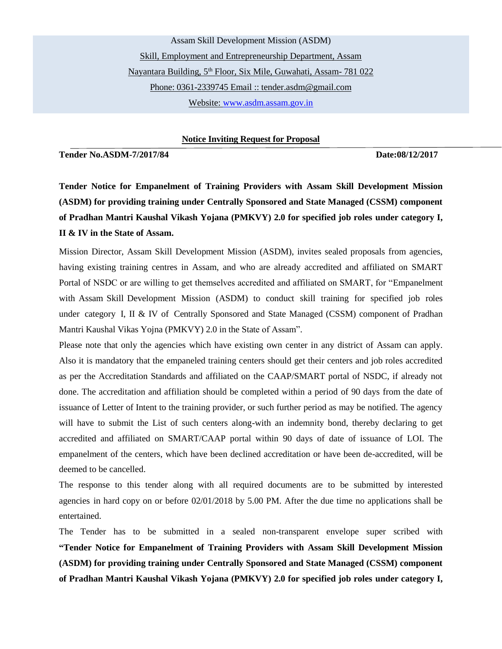Assam Skill Development Mission (ASDM) Skill, Employment and Entrepreneurship Department, Assam Nayantara Building, 5<sup>th</sup> Floor, Six Mile, Guwahati, Assam- 781 022 [Phone: 0361-2339745 Email](mailto:Phone:%200361-2339745%20Email) :: tender.asdm@gmail.com Website: www.asdm.assam.gov.in

**Notice Inviting Request for Proposal**

**Tender No.ASDM-7/2017/84 Date:08/12/2017** 

**Tender Notice for Empanelment of Training Providers with Assam Skill Development Mission (ASDM) for providing training under Centrally Sponsored and State Managed (CSSM) component of Pradhan Mantri Kaushal Vikash Yojana (PMKVY) 2.0 for specified job roles under category I, II & IV in the State of Assam.**

Mission Director, Assam Skill Development Mission (ASDM), invites sealed proposals from agencies, having existing training centres in Assam, and who are already accredited and affiliated on SMART Portal of NSDC or are willing to get themselves accredited and affiliated on SMART, for "Empanelment with Assam Skill Development Mission (ASDM) to conduct skill training for specified job roles under category I, II & IV of Centrally Sponsored and State Managed (CSSM) component of Pradhan Mantri Kaushal Vikas Yojna (PMKVY) 2.0 in the State of Assam".

Please note that only the agencies which have existing own center in any district of Assam can apply. Also it is mandatory that the empaneled training centers should get their centers and job roles accredited as per the Accreditation Standards and affiliated on the CAAP/SMART portal of NSDC, if already not done. The accreditation and affiliation should be completed within a period of 90 days from the date of issuance of Letter of Intent to the training provider, or such further period as may be notified. The agency will have to submit the List of such centers along-with an indemnity bond, thereby declaring to get accredited and affiliated on SMART/CAAP portal within 90 days of date of issuance of LOI. The empanelment of the centers, which have been declined accreditation or have been de-accredited, will be deemed to be cancelled.

The response to this tender along with all required documents are to be submitted by interested agencies in hard copy on or before 02/01/2018 by 5.00 PM. After the due time no applications shall be entertained.

The Tender has to be submitted in a sealed non-transparent envelope super scribed with **"Tender Notice for Empanelment of Training Providers with Assam Skill Development Mission (ASDM) for providing training under Centrally Sponsored and State Managed (CSSM) component of Pradhan Mantri Kaushal Vikash Yojana (PMKVY) 2.0 for specified job roles under category I,**